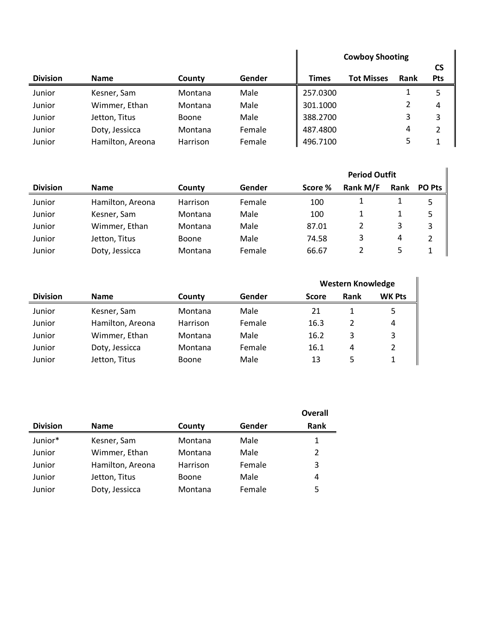|                 |                  |              |        | <b>Cowboy Shooting</b> |                   |      |                  |
|-----------------|------------------|--------------|--------|------------------------|-------------------|------|------------------|
| <b>Division</b> | <b>Name</b>      | County       | Gender | <b>Times</b>           | <b>Tot Misses</b> | Rank | CS<br><b>Pts</b> |
| Junior          | Kesner, Sam      | Montana      | Male   | 257.0300               |                   |      | 5                |
| Junior          | Wimmer, Ethan    | Montana      | Male   | 301.1000               |                   |      | 4                |
| Junior          | Jetton, Titus    | <b>Boone</b> | Male   | 388.2700               |                   | 3    | 3                |
| Junior          | Doty, Jessicca   | Montana      | Female | 487.4800               |                   | 4    | 2                |
| Junior          | Hamilton, Areona | Harrison     | Female | 496.7100               |                   |      |                  |

|                 |                  |              |        |         | <b>Period Outfit</b> |      |               |
|-----------------|------------------|--------------|--------|---------|----------------------|------|---------------|
| <b>Division</b> | <b>Name</b>      | County       | Gender | Score % | Rank M/F             | Rank | <b>PO Pts</b> |
| Junior          | Hamilton, Areona | Harrison     | Female | 100     |                      |      | 5             |
| Junior          | Kesner, Sam      | Montana      | Male   | 100     |                      |      | 5             |
| Junior          | Wimmer, Ethan    | Montana      | Male   | 87.01   | 2                    | 3    | 3             |
| Junior          | Jetton, Titus    | <b>Boone</b> | Male   | 74.58   | 3                    | 4    |               |
| Junior          | Doty, Jessicca   | Montana      | Female | 66.67   |                      | 5    |               |

|                 |                  |          |        | <b>Western Knowledge</b> |      |               |  |
|-----------------|------------------|----------|--------|--------------------------|------|---------------|--|
| <b>Division</b> | <b>Name</b>      | County   | Gender | <b>Score</b>             | Rank | <b>WK Pts</b> |  |
| Junior          | Kesner, Sam      | Montana  | Male   | 21                       |      | 5.            |  |
| Junior          | Hamilton, Areona | Harrison | Female | 16.3                     | 2    | 4             |  |
| Junior          | Wimmer, Ethan    | Montana  | Male   | 16.2                     | 3    | 3             |  |
| Junior          | Doty, Jessicca   | Montana  | Female | 16.1                     | 4    | 2             |  |
| Junior          | Jetton, Titus    | Boone    | Male   | 13                       | 5    | 1             |  |

|                 |                  |          |        | Overall     |
|-----------------|------------------|----------|--------|-------------|
| <b>Division</b> | <b>Name</b>      | County   | Gender | <b>Rank</b> |
| Junior*         | Kesner, Sam      | Montana  | Male   | 1           |
| Junior          | Wimmer, Ethan    | Montana  | Male   | 2           |
| Junior          | Hamilton, Areona | Harrison | Female | 3           |
| Junior          | Jetton, Titus    | Boone    | Male   | 4           |
| Junior          | Doty, Jessicca   | Montana  | Female | 5           |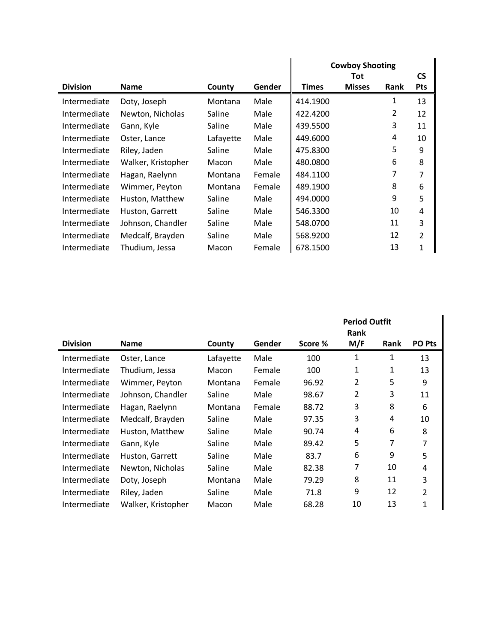|                 |                    |           |        |              | <b>Cowboy Shooting</b><br><b>Tot</b> |                |                         |
|-----------------|--------------------|-----------|--------|--------------|--------------------------------------|----------------|-------------------------|
| <b>Division</b> | <b>Name</b>        | County    | Gender | <b>Times</b> | <b>Misses</b>                        | <b>Rank</b>    | <b>CS</b><br><b>Pts</b> |
| Intermediate    | Doty, Joseph       | Montana   | Male   | 414.1900     |                                      | 1              | 13                      |
| Intermediate    | Newton, Nicholas   | Saline    | Male   | 422.4200     |                                      | $\overline{2}$ | 12                      |
| Intermediate    | Gann, Kyle         | Saline    | Male   | 439.5500     |                                      | 3              | 11                      |
| Intermediate    | Oster, Lance       | Lafayette | Male   | 449.6000     |                                      | 4              | 10                      |
| Intermediate    | Riley, Jaden       | Saline    | Male   | 475.8300     |                                      | 5              | 9                       |
| Intermediate    | Walker, Kristopher | Macon     | Male   | 480.0800     |                                      | 6              | 8                       |
| Intermediate    | Hagan, Raelynn     | Montana   | Female | 484.1100     |                                      | 7              | 7                       |
| Intermediate    | Wimmer, Peyton     | Montana   | Female | 489.1900     |                                      | 8              | 6                       |
| Intermediate    | Huston, Matthew    | Saline    | Male   | 494.0000     |                                      | 9              | 5                       |
| Intermediate    | Huston, Garrett    | Saline    | Male   | 546.3300     |                                      | 10             | 4                       |
| Intermediate    | Johnson, Chandler  | Saline    | Male   | 548.0700     |                                      | 11             | 3                       |
| Intermediate    | Medcalf, Brayden   | Saline    | Male   | 568.9200     |                                      | 12             | $\overline{2}$          |
| Intermediate    | Thudium, Jessa     | Macon     | Female | 678.1500     |                                      | 13             | 1                       |

|                 |                    |           |        |         | <b>Period Outfit</b><br><b>Rank</b> |      |                |
|-----------------|--------------------|-----------|--------|---------|-------------------------------------|------|----------------|
| <b>Division</b> | <b>Name</b>        | County    | Gender | Score % | M/F                                 | Rank | <b>PO Pts</b>  |
| Intermediate    | Oster, Lance       | Lafayette | Male   | 100     | 1                                   | 1    | 13             |
| Intermediate    | Thudium, Jessa     | Macon     | Female | 100     | 1                                   | 1    | 13             |
| Intermediate    | Wimmer, Peyton     | Montana   | Female | 96.92   | 2                                   | 5    | 9              |
| Intermediate    | Johnson, Chandler  | Saline    | Male   | 98.67   | 2                                   | 3    | 11             |
| Intermediate    | Hagan, Raelynn     | Montana   | Female | 88.72   | 3                                   | 8    | 6              |
| Intermediate    | Medcalf, Brayden   | Saline    | Male   | 97.35   | 3                                   | 4    | 10             |
| Intermediate    | Huston, Matthew    | Saline    | Male   | 90.74   | 4                                   | 6    | 8              |
| Intermediate    | Gann, Kyle         | Saline    | Male   | 89.42   | 5                                   | 7    | 7              |
| Intermediate    | Huston, Garrett    | Saline    | Male   | 83.7    | 6                                   | 9    | 5              |
| Intermediate    | Newton, Nicholas   | Saline    | Male   | 82.38   | 7                                   | 10   | 4              |
| Intermediate    | Doty, Joseph       | Montana   | Male   | 79.29   | 8                                   | 11   | 3              |
| Intermediate    | Riley, Jaden       | Saline    | Male   | 71.8    | 9                                   | 12   | $\overline{2}$ |
| Intermediate    | Walker, Kristopher | Macon     | Male   | 68.28   | 10                                  | 13   | 1              |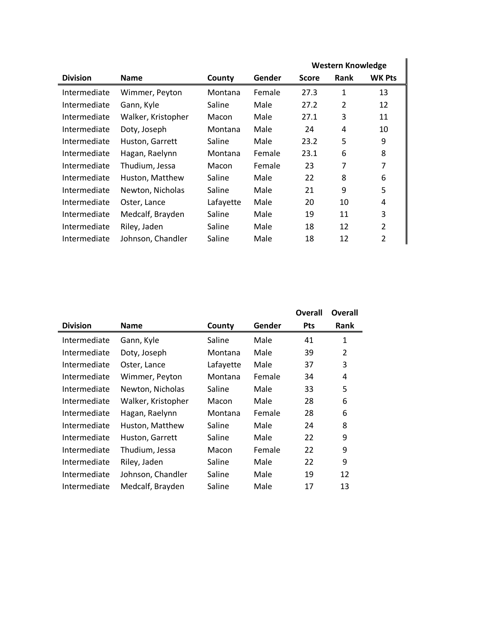|                    |           |        |              | <b>Western Knowledge</b> |                |  |
|--------------------|-----------|--------|--------------|--------------------------|----------------|--|
| <b>Name</b>        | County    | Gender | <b>Score</b> | <b>Rank</b>              | <b>WK Pts</b>  |  |
| Wimmer, Peyton     | Montana   | Female | 27.3         | $\mathbf{1}$             | 13             |  |
| Gann, Kyle         | Saline    | Male   | 27.2         | $\overline{2}$           | 12             |  |
| Walker, Kristopher | Macon     | Male   | 27.1         | 3                        | 11             |  |
| Doty, Joseph       | Montana   | Male   | 24           | 4                        | 10             |  |
| Huston, Garrett    | Saline    | Male   | 23.2         | 5                        | 9              |  |
| Hagan, Raelynn     | Montana   | Female | 23.1         | 6                        | 8              |  |
| Thudium, Jessa     | Macon     | Female | 23           | 7                        | 7              |  |
| Huston, Matthew    | Saline    | Male   | 22           | 8                        | 6              |  |
| Newton, Nicholas   | Saline    | Male   | 21           | 9                        | 5              |  |
| Oster, Lance       | Lafayette | Male   | 20           | 10                       | 4              |  |
| Medcalf, Brayden   | Saline    | Male   | 19           | 11                       | 3              |  |
| Riley, Jaden       | Saline    | Male   | 18           | 12                       | 2              |  |
| Johnson, Chandler  | Saline    | Male   | 18           | 12                       | $\overline{2}$ |  |
|                    |           |        |              |                          |                |  |

|                 |                    |           |        | Overall    | Overall      |
|-----------------|--------------------|-----------|--------|------------|--------------|
| <b>Division</b> | <b>Name</b>        | County    | Gender | <b>Pts</b> | <b>Rank</b>  |
| Intermediate    | Gann, Kyle         | Saline    | Male   | 41         | $\mathbf{1}$ |
| Intermediate    | Doty, Joseph       | Montana   | Male   | 39         | 2            |
| Intermediate    | Oster, Lance       | Lafayette | Male   | 37         | 3            |
| Intermediate    | Wimmer, Peyton     | Montana   | Female | 34         | 4            |
| Intermediate    | Newton, Nicholas   | Saline    | Male   | 33         | 5            |
| Intermediate    | Walker, Kristopher | Macon     | Male   | 28         | 6            |
| Intermediate    | Hagan, Raelynn     | Montana   | Female | 28         | 6            |
| Intermediate    | Huston, Matthew    | Saline    | Male   | 24         | 8            |
| Intermediate    | Huston, Garrett    | Saline    | Male   | 22         | 9            |
| Intermediate    | Thudium, Jessa     | Macon     | Female | 22         | 9            |
| Intermediate    | Riley, Jaden       | Saline    | Male   | 22         | 9            |
| Intermediate    | Johnson, Chandler  | Saline    | Male   | 19         | 12           |
| Intermediate    | Medcalf, Brayden   | Saline    | Male   | 17         | 13           |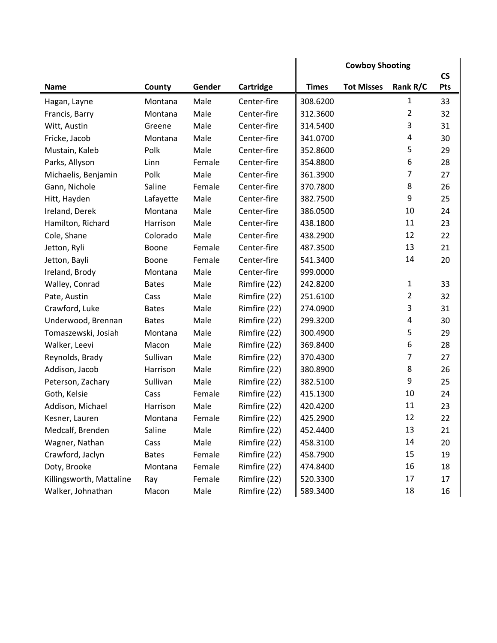|                          |              |        |              |              | <b>Cowboy Shooting</b> |                | $\mathsf{CS}\phantom{0}$ |
|--------------------------|--------------|--------|--------------|--------------|------------------------|----------------|--------------------------|
| <b>Name</b>              | County       | Gender | Cartridge    | <b>Times</b> | <b>Tot Misses</b>      | Rank R/C       | Pts                      |
| Hagan, Layne             | Montana      | Male   | Center-fire  | 308.6200     |                        | 1              | 33                       |
| Francis, Barry           | Montana      | Male   | Center-fire  | 312.3600     |                        | 2              | 32                       |
| Witt, Austin             | Greene       | Male   | Center-fire  | 314.5400     |                        | 3              | 31                       |
| Fricke, Jacob            | Montana      | Male   | Center-fire  | 341.0700     |                        | $\overline{4}$ | 30                       |
| Mustain, Kaleb           | Polk         | Male   | Center-fire  | 352.8600     |                        | 5              | 29                       |
| Parks, Allyson           | Linn         | Female | Center-fire  | 354.8800     |                        | 6              | 28                       |
| Michaelis, Benjamin      | Polk         | Male   | Center-fire  | 361.3900     |                        | 7              | 27                       |
| Gann, Nichole            | Saline       | Female | Center-fire  | 370.7800     |                        | 8              | 26                       |
| Hitt, Hayden             | Lafayette    | Male   | Center-fire  | 382.7500     |                        | 9              | 25                       |
| Ireland, Derek           | Montana      | Male   | Center-fire  | 386.0500     |                        | 10             | 24                       |
| Hamilton, Richard        | Harrison     | Male   | Center-fire  | 438.1800     |                        | 11             | 23                       |
| Cole, Shane              | Colorado     | Male   | Center-fire  | 438.2900     |                        | 12             | 22                       |
| Jetton, Ryli             | Boone        | Female | Center-fire  | 487.3500     |                        | 13             | 21                       |
| Jetton, Bayli            | Boone        | Female | Center-fire  | 541.3400     |                        | 14             | 20                       |
| Ireland, Brody           | Montana      | Male   | Center-fire  | 999.0000     |                        |                |                          |
| Walley, Conrad           | <b>Bates</b> | Male   | Rimfire (22) | 242.8200     |                        | $\mathbf{1}$   | 33                       |
| Pate, Austin             | Cass         | Male   | Rimfire (22) | 251.6100     |                        | 2              | 32                       |
| Crawford, Luke           | <b>Bates</b> | Male   | Rimfire (22) | 274.0900     |                        | 3              | 31                       |
| Underwood, Brennan       | <b>Bates</b> | Male   | Rimfire (22) | 299.3200     |                        | $\overline{4}$ | 30                       |
| Tomaszewski, Josiah      | Montana      | Male   | Rimfire (22) | 300.4900     |                        | 5              | 29                       |
| Walker, Leevi            | Macon        | Male   | Rimfire (22) | 369.8400     |                        | 6              | 28                       |
| Reynolds, Brady          | Sullivan     | Male   | Rimfire (22) | 370.4300     |                        | 7              | 27                       |
| Addison, Jacob           | Harrison     | Male   | Rimfire (22) | 380.8900     |                        | 8              | 26                       |
| Peterson, Zachary        | Sullivan     | Male   | Rimfire (22) | 382.5100     |                        | 9              | 25                       |
| Goth, Kelsie             | Cass         | Female | Rimfire (22) | 415.1300     |                        | 10             | 24                       |
| Addison, Michael         | Harrison     | Male   | Rimfire (22) | 420.4200     |                        | 11             | 23                       |
| Kesner, Lauren           | Montana      | Female | Rimfire (22) | 425.2900     |                        | 12             | 22                       |
| Medcalf, Brenden         | Saline       | Male   | Rimfire (22) | 452.4400     |                        | 13             | 21                       |
| Wagner, Nathan           | Cass         | Male   | Rimfire (22) | 458.3100     |                        | 14             | 20                       |
| Crawford, Jaclyn         | <b>Bates</b> | Female | Rimfire (22) | 458.7900     |                        | 15             | 19                       |
| Doty, Brooke             | Montana      | Female | Rimfire (22) | 474.8400     |                        | 16             | 18                       |
| Killingsworth, Mattaline | Ray          | Female | Rimfire (22) | 520.3300     |                        | 17             | 17                       |
| Walker, Johnathan        | Macon        | Male   | Rimfire (22) | 589.3400     |                        | 18             | 16                       |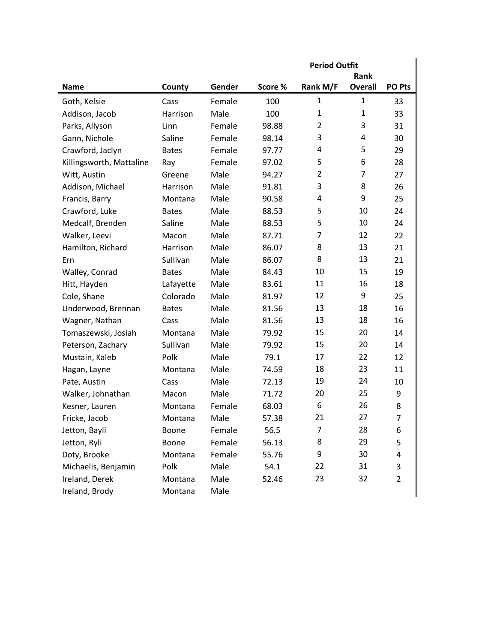|                          |              |        | <b>Period Outfit</b> |                |                |                |
|--------------------------|--------------|--------|----------------------|----------------|----------------|----------------|
|                          |              |        |                      |                | Rank           |                |
| <b>Name</b>              | County       | Gender | Score %              | Rank M/F       | <b>Overall</b> | PO Pts         |
| Goth, Kelsie             | Cass         | Female | 100                  | 1              | 1              | 33             |
| Addison, Jacob           | Harrison     | Male   | 100                  | 1              | 1              | 33             |
| Parks, Allyson           | Linn         | Female | 98.88                | $\overline{2}$ | 3              | 31             |
| Gann, Nichole            | Saline       | Female | 98.14                | 3              | 4              | 30             |
| Crawford, Jaclyn         | <b>Bates</b> | Female | 97.77                | 4              | 5              | 29             |
| Killingsworth, Mattaline | Ray          | Female | 97.02                | 5              | 6              | 28             |
| Witt, Austin             | Greene       | Male   | 94.27                | $\overline{2}$ | 7              | 27             |
| Addison, Michael         | Harrison     | Male   | 91.81                | 3              | 8              | 26             |
| Francis, Barry           | Montana      | Male   | 90.58                | 4              | 9              | 25             |
| Crawford, Luke           | <b>Bates</b> | Male   | 88.53                | 5              | 10             | 24             |
| Medcalf, Brenden         | Saline       | Male   | 88.53                | 5              | 10             | 24             |
| Walker, Leevi            | Macon        | Male   | 87.71                | 7              | 12             | 22             |
| Hamilton, Richard        | Harrison     | Male   | 86.07                | 8              | 13             | 21             |
| Ern                      | Sullivan     | Male   | 86.07                | 8              | 13             | 21             |
| Walley, Conrad           | <b>Bates</b> | Male   | 84.43                | 10             | 15             | 19             |
| Hitt, Hayden             | Lafayette    | Male   | 83.61                | 11             | 16             | 18             |
| Cole, Shane              | Colorado     | Male   | 81.97                | 12             | 9              | 25             |
| Underwood, Brennan       | <b>Bates</b> | Male   | 81.56                | 13             | 18             | 16             |
| Wagner, Nathan           | Cass         | Male   | 81.56                | 13             | 18             | 16             |
| Tomaszewski, Josiah      | Montana      | Male   | 79.92                | 15             | 20             | 14             |
| Peterson, Zachary        | Sullivan     | Male   | 79.92                | 15             | 20             | 14             |
| Mustain, Kaleb           | Polk         | Male   | 79.1                 | 17             | 22             | 12             |
| Hagan, Layne             | Montana      | Male   | 74.59                | 18             | 23             | 11             |
| Pate, Austin             | Cass         | Male   | 72.13                | 19             | 24             | 10             |
| Walker, Johnathan        | Macon        | Male   | 71.72                | 20             | 25             | 9              |
| Kesner, Lauren           | Montana      | Female | 68.03                | 6              | 26             | 8              |
| Fricke, Jacob            | Montana      | Male   | 57.38                | 21             | 27             | 7              |
| Jetton, Bayli            | Boone        | Female | 56.5                 | 7              | 28             | 6              |
| Jetton, Ryli             | Boone        | Female | 56.13                | 8              | 29             | 5              |
| Doty, Brooke             | Montana      | Female | 55.76                | 9              | 30             | 4              |
| Michaelis, Benjamin      | Polk         | Male   | 54.1                 | 22             | 31             | 3              |
| Ireland, Derek           | Montana      | Male   | 52.46                | 23             | 32             | $\overline{2}$ |
| Ireland, Brody           | Montana      | Male   |                      |                |                |                |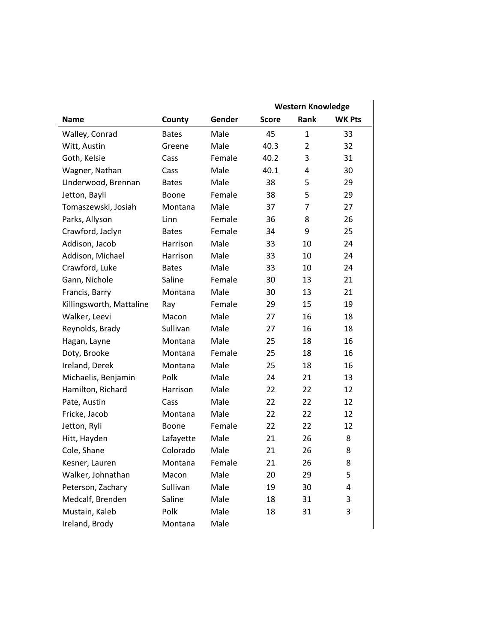|                          |              |        | <b>Western Knowledge</b> |                |               |  |
|--------------------------|--------------|--------|--------------------------|----------------|---------------|--|
| <b>Name</b>              | County       | Gender | <b>Score</b>             | Rank           | <b>WK Pts</b> |  |
| Walley, Conrad           | <b>Bates</b> | Male   | 45                       | $\mathbf{1}$   | 33            |  |
| Witt, Austin             | Greene       | Male   | 40.3                     | $\overline{2}$ | 32            |  |
| Goth, Kelsie             | Cass         | Female | 40.2                     | 3              | 31            |  |
| Wagner, Nathan           | Cass         | Male   | 40.1                     | 4              | 30            |  |
| Underwood, Brennan       | <b>Bates</b> | Male   | 38                       | 5              | 29            |  |
| Jetton, Bayli            | <b>Boone</b> | Female | 38                       | 5              | 29            |  |
| Tomaszewski, Josiah      | Montana      | Male   | 37                       | $\overline{7}$ | 27            |  |
| Parks, Allyson           | Linn         | Female | 36                       | 8              | 26            |  |
| Crawford, Jaclyn         | <b>Bates</b> | Female | 34                       | 9              | 25            |  |
| Addison, Jacob           | Harrison     | Male   | 33                       | 10             | 24            |  |
| Addison, Michael         | Harrison     | Male   | 33                       | 10             | 24            |  |
| Crawford, Luke           | <b>Bates</b> | Male   | 33                       | 10             | 24            |  |
| Gann, Nichole            | Saline       | Female | 30                       | 13             | 21            |  |
| Francis, Barry           | Montana      | Male   | 30                       | 13             | 21            |  |
| Killingsworth, Mattaline | Ray          | Female | 29                       | 15             | 19            |  |
| Walker, Leevi            | Macon        | Male   | 27                       | 16             | 18            |  |
| Reynolds, Brady          | Sullivan     | Male   | 27                       | 16             | 18            |  |
| Hagan, Layne             | Montana      | Male   | 25                       | 18             | 16            |  |
| Doty, Brooke             | Montana      | Female | 25                       | 18             | 16            |  |
| Ireland, Derek           | Montana      | Male   | 25                       | 18             | 16            |  |
| Michaelis, Benjamin      | Polk         | Male   | 24                       | 21             | 13            |  |
| Hamilton, Richard        | Harrison     | Male   | 22                       | 22             | 12            |  |
| Pate, Austin             | Cass         | Male   | 22                       | 22             | 12            |  |
| Fricke, Jacob            | Montana      | Male   | 22                       | 22             | 12            |  |
| Jetton, Ryli             | Boone        | Female | 22                       | 22             | 12            |  |
| Hitt, Hayden             | Lafayette    | Male   | 21                       | 26             | 8             |  |
| Cole, Shane              | Colorado     | Male   | 21                       | 26             | 8             |  |
| Kesner, Lauren           | Montana      | Female | 21                       | 26             | 8             |  |
| Walker, Johnathan        | Macon        | Male   | 20                       | 29             | 5             |  |
| Peterson, Zachary        | Sullivan     | Male   | 19                       | 30             | 4             |  |
| Medcalf, Brenden         | Saline       | Male   | 18                       | 31             | 3             |  |
| Mustain, Kaleb           | Polk         | Male   | 18                       | 31             | 3             |  |
| Ireland, Brody           | Montana      | Male   |                          |                |               |  |